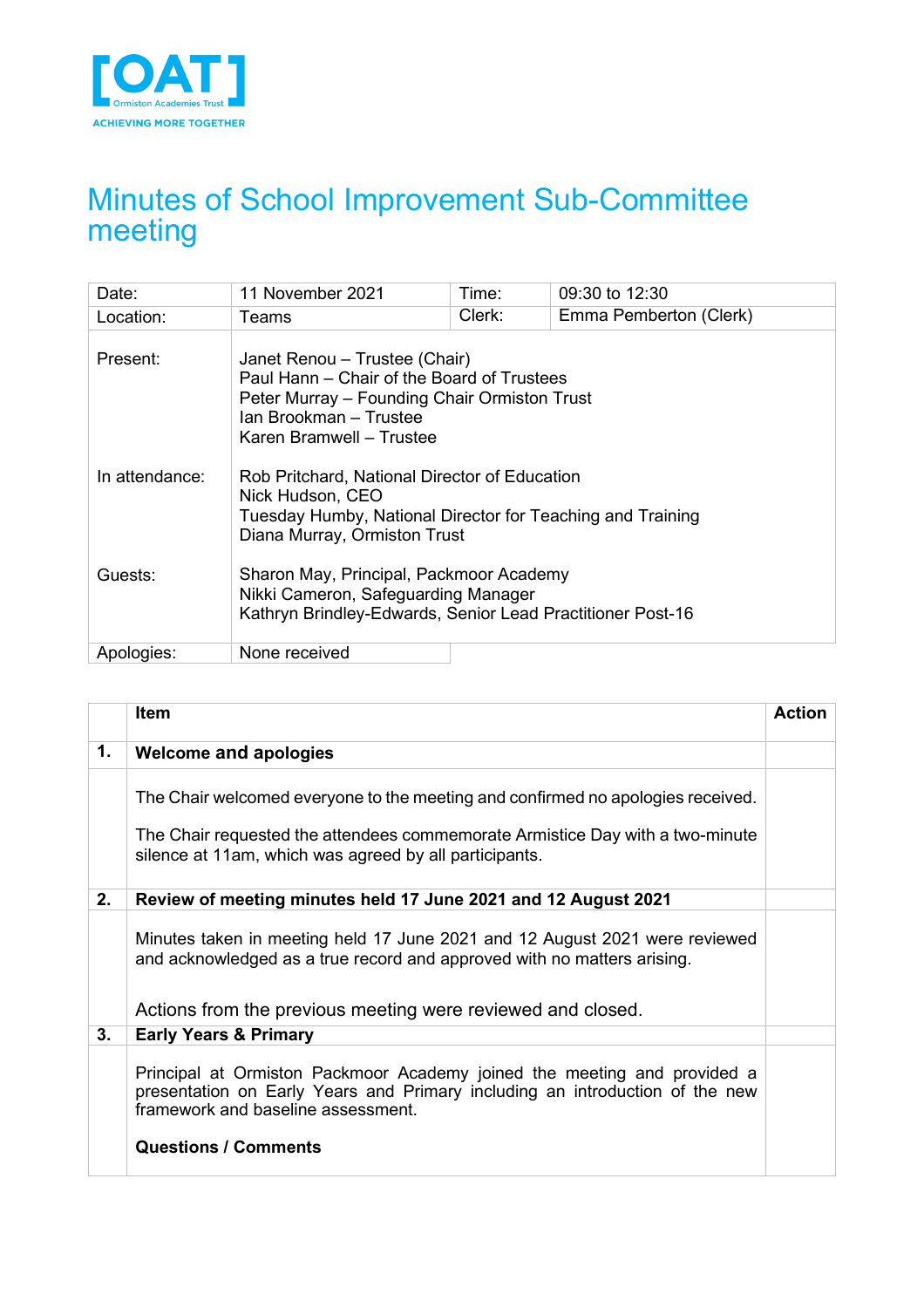

# Minutes of School Improvement Sub-Committee meeting

| Date:          | 11 November 2021                                                                                                                                                                  | Time:  | 09:30 to 12:30         |  |
|----------------|-----------------------------------------------------------------------------------------------------------------------------------------------------------------------------------|--------|------------------------|--|
| Location:      | Teams                                                                                                                                                                             | Clerk: | Emma Pemberton (Clerk) |  |
| Present:       | Janet Renou – Trustee (Chair)<br>Paul Hann – Chair of the Board of Trustees<br>Peter Murray - Founding Chair Ormiston Trust<br>Ian Brookman - Trustee<br>Karen Bramwell - Trustee |        |                        |  |
| In attendance: | Rob Pritchard, National Director of Education<br>Nick Hudson, CEO<br>Tuesday Humby, National Director for Teaching and Training<br>Diana Murray, Ormiston Trust                   |        |                        |  |
| Guests:        | Sharon May, Principal, Packmoor Academy<br>Nikki Cameron, Safeguarding Manager<br>Kathryn Brindley-Edwards, Senior Lead Practitioner Post-16                                      |        |                        |  |
| Apologies:     | None received                                                                                                                                                                     |        |                        |  |

|    | <b>Item</b>                                                                                                                                                                                                                   | <b>Action</b> |
|----|-------------------------------------------------------------------------------------------------------------------------------------------------------------------------------------------------------------------------------|---------------|
| 1. | Welcome and apologies                                                                                                                                                                                                         |               |
|    | The Chair welcomed everyone to the meeting and confirmed no apologies received.                                                                                                                                               |               |
|    | The Chair requested the attendees commemorate Armistice Day with a two-minute<br>silence at 11am, which was agreed by all participants.                                                                                       |               |
| 2. | Review of meeting minutes held 17 June 2021 and 12 August 2021                                                                                                                                                                |               |
|    | Minutes taken in meeting held 17 June 2021 and 12 August 2021 were reviewed<br>and acknowledged as a true record and approved with no matters arising.<br>Actions from the previous meeting were reviewed and closed.         |               |
| 3. | <b>Early Years &amp; Primary</b>                                                                                                                                                                                              |               |
|    | Principal at Ormiston Packmoor Academy joined the meeting and provided a<br>presentation on Early Years and Primary including an introduction of the new<br>framework and baseline assessment.<br><b>Questions / Comments</b> |               |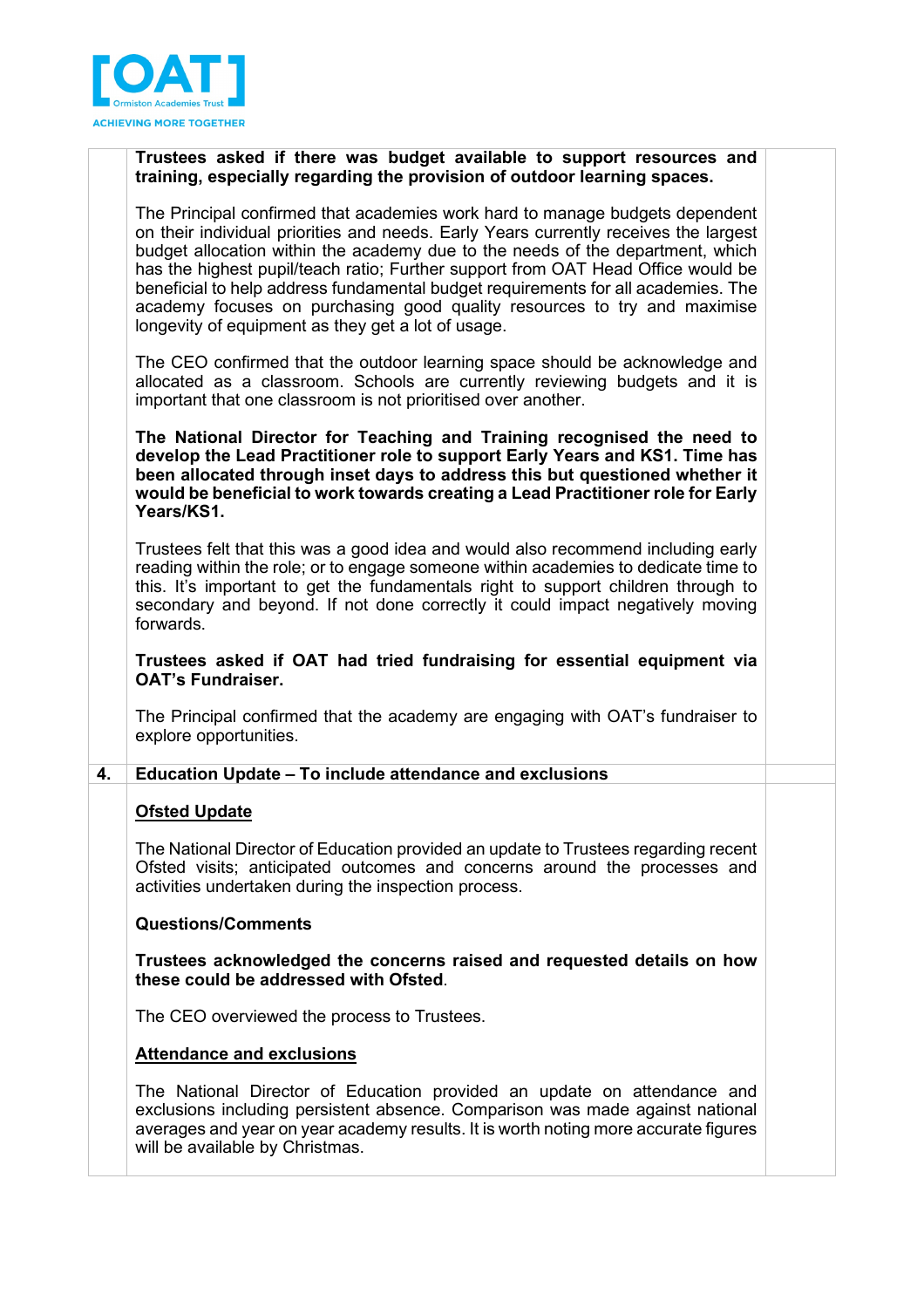

## **Trustees asked if there was budget available to support resources and training, especially regarding the provision of outdoor learning spaces.**

The Principal confirmed that academies work hard to manage budgets dependent on their individual priorities and needs. Early Years currently receives the largest budget allocation within the academy due to the needs of the department, which has the highest pupil/teach ratio; Further support from OAT Head Office would be beneficial to help address fundamental budget requirements for all academies. The academy focuses on purchasing good quality resources to try and maximise longevity of equipment as they get a lot of usage.

The CEO confirmed that the outdoor learning space should be acknowledge and allocated as a classroom. Schools are currently reviewing budgets and it is important that one classroom is not prioritised over another.

**The National Director for Teaching and Training recognised the need to develop the Lead Practitioner role to support Early Years and KS1. Time has been allocated through inset days to address this but questioned whether it would be beneficial to work towards creating a Lead Practitioner role for Early Years/KS1.**

Trustees felt that this was a good idea and would also recommend including early reading within the role; or to engage someone within academies to dedicate time to this. It's important to get the fundamentals right to support children through to secondary and beyond. If not done correctly it could impact negatively moving forwards.

**Trustees asked if OAT had tried fundraising for essential equipment via OAT's Fundraiser.** 

The Principal confirmed that the academy are engaging with OAT's fundraiser to explore opportunities.

#### **4. Education Update – To include attendance and exclusions**

#### **Ofsted Update**

The National Director of Education provided an update to Trustees regarding recent Ofsted visits; anticipated outcomes and concerns around the processes and activities undertaken during the inspection process.

#### **Questions/Comments**

**Trustees acknowledged the concerns raised and requested details on how these could be addressed with Ofsted**.

The CEO overviewed the process to Trustees.

#### **Attendance and exclusions**

The National Director of Education provided an update on attendance and exclusions including persistent absence. Comparison was made against national averages and year on year academy results. It is worth noting more accurate figures will be available by Christmas.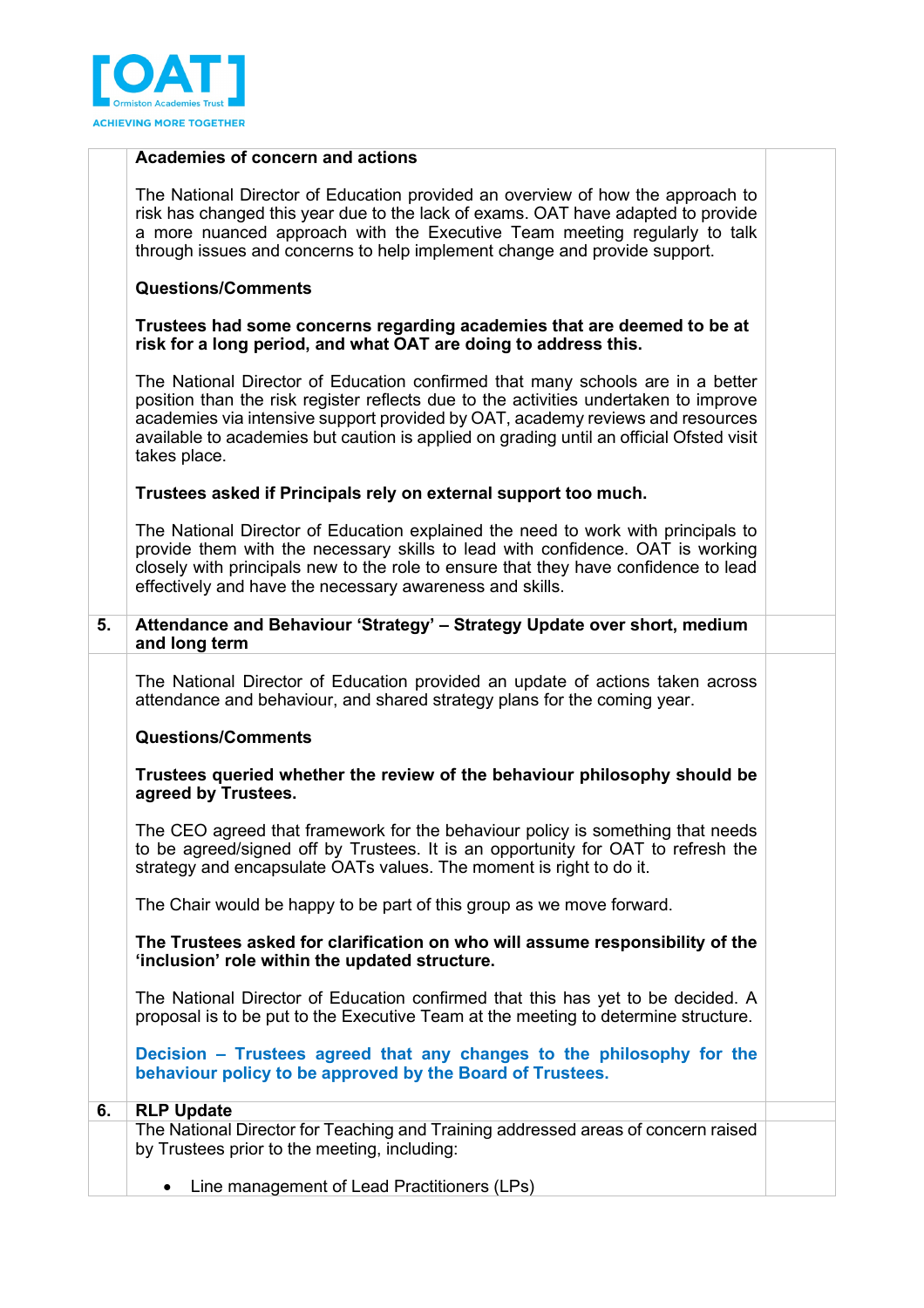

#### **Academies of concern and actions**

The National Director of Education provided an overview of how the approach to risk has changed this year due to the lack of exams. OAT have adapted to provide a more nuanced approach with the Executive Team meeting regularly to talk through issues and concerns to help implement change and provide support.

#### **Questions/Comments**

#### **Trustees had some concerns regarding academies that are deemed to be at risk for a long period, and what OAT are doing to address this.**

The National Director of Education confirmed that many schools are in a better position than the risk register reflects due to the activities undertaken to improve academies via intensive support provided by OAT, academy reviews and resources available to academies but caution is applied on grading until an official Ofsted visit takes place.

#### **Trustees asked if Principals rely on external support too much.**

The National Director of Education explained the need to work with principals to provide them with the necessary skills to lead with confidence. OAT is working closely with principals new to the role to ensure that they have confidence to lead effectively and have the necessary awareness and skills.

**5. Attendance and Behaviour 'Strategy' – Strategy Update over short, medium and long term**

The National Director of Education provided an update of actions taken across attendance and behaviour, and shared strategy plans for the coming year.

#### **Questions/Comments**

**Trustees queried whether the review of the behaviour philosophy should be agreed by Trustees.** 

The CEO agreed that framework for the behaviour policy is something that needs to be agreed/signed off by Trustees. It is an opportunity for OAT to refresh the strategy and encapsulate OATs values. The moment is right to do it.

The Chair would be happy to be part of this group as we move forward.

## **The Trustees asked for clarification on who will assume responsibility of the 'inclusion' role within the updated structure.**

The National Director of Education confirmed that this has yet to be decided. A proposal is to be put to the Executive Team at the meeting to determine structure.

**Decision – Trustees agreed that any changes to the philosophy for the behaviour policy to be approved by the Board of Trustees.**

| <b>RLP Update</b>                                                                                                                 |  |
|-----------------------------------------------------------------------------------------------------------------------------------|--|
| The National Director for Teaching and Training addressed areas of concern raised<br>by Trustees prior to the meeting, including: |  |
| I be a newledge of section of the section of the section of $\mathbf{D} \cdot \mathbf{V}$                                         |  |

• Line management of Lead Practitioners (LPs)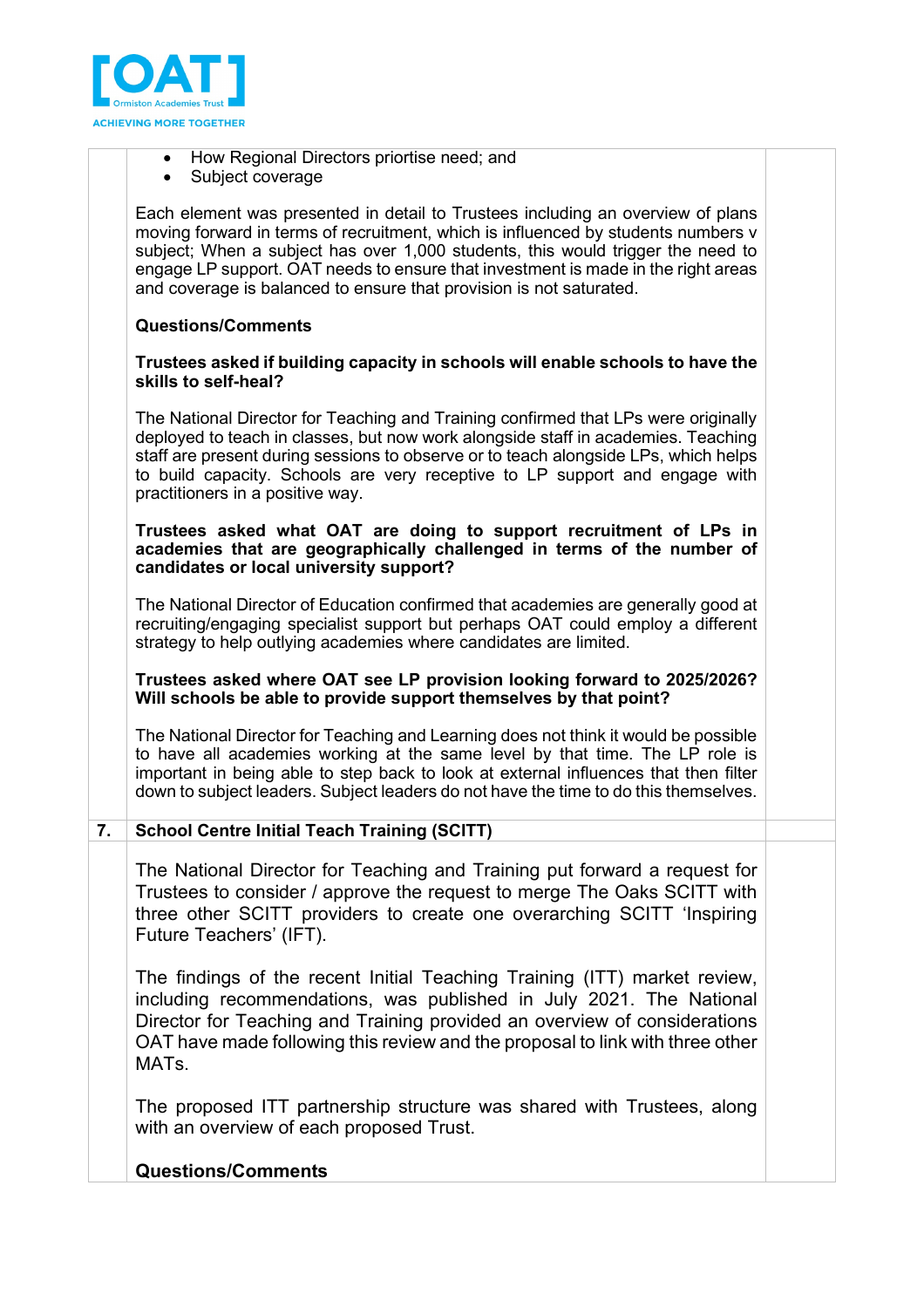

- How Regional Directors priortise need; and
- Subject coverage

Each element was presented in detail to Trustees including an overview of plans moving forward in terms of recruitment, which is influenced by students numbers v subject; When a subject has over 1,000 students, this would trigger the need to engage LP support. OAT needs to ensure that investment is made in the right areas and coverage is balanced to ensure that provision is not saturated.

# **Questions/Comments**

#### **Trustees asked if building capacity in schools will enable schools to have the skills to self-heal?**

The National Director for Teaching and Training confirmed that LPs were originally deployed to teach in classes, but now work alongside staff in academies. Teaching staff are present during sessions to observe or to teach alongside LPs, which helps to build capacity. Schools are very receptive to LP support and engage with practitioners in a positive way.

#### **Trustees asked what OAT are doing to support recruitment of LPs in academies that are geographically challenged in terms of the number of candidates or local university support?**

The National Director of Education confirmed that academies are generally good at recruiting/engaging specialist support but perhaps OAT could employ a different strategy to help outlying academies where candidates are limited.

## **Trustees asked where OAT see LP provision looking forward to 2025/2026? Will schools be able to provide support themselves by that point?**

The National Director for Teaching and Learning does not think it would be possible to have all academies working at the same level by that time. The LP role is important in being able to step back to look at external influences that then filter down to subject leaders. Subject leaders do not have the time to do this themselves.

**7. School Centre Initial Teach Training (SCITT)** 

The National Director for Teaching and Training put forward a request for Trustees to consider / approve the request to merge The Oaks SCITT with three other SCITT providers to create one overarching SCITT 'Inspiring Future Teachers' (IFT).

The findings of the recent Initial Teaching Training (ITT) market review, including recommendations, was published in July 2021. The National Director for Teaching and Training provided an overview of considerations OAT have made following this review and the proposal to link with three other MATs.

The proposed ITT partnership structure was shared with Trustees, along with an overview of each proposed Trust.

# **Questions/Comments**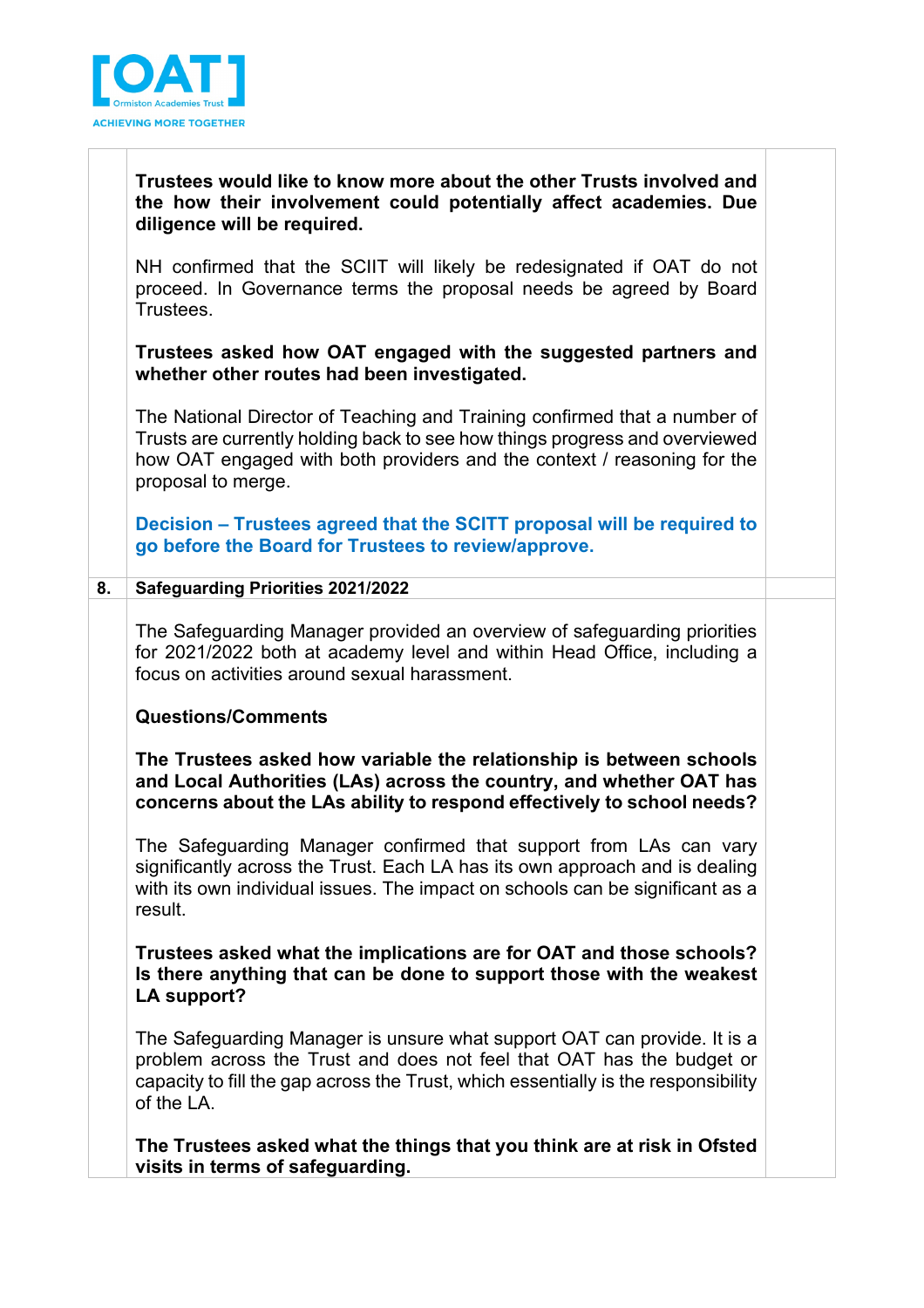

# **Trustees would like to know more about the other Trusts involved and the how their involvement could potentially affect academies. Due diligence will be required.**

NH confirmed that the SCIIT will likely be redesignated if OAT do not proceed. In Governance terms the proposal needs be agreed by Board Trustees.

**Trustees asked how OAT engaged with the suggested partners and whether other routes had been investigated.** 

The National Director of Teaching and Training confirmed that a number of Trusts are currently holding back to see how things progress and overviewed how OAT engaged with both providers and the context / reasoning for the proposal to merge.

**Decision – Trustees agreed that the SCITT proposal will be required to go before the Board for Trustees to review/approve.**

# **8. Safeguarding Priorities 2021/2022**

The Safeguarding Manager provided an overview of safeguarding priorities for 2021/2022 both at academy level and within Head Office, including a focus on activities around sexual harassment.

# **Questions/Comments**

**The Trustees asked how variable the relationship is between schools and Local Authorities (LAs) across the country, and whether OAT has concerns about the LAs ability to respond effectively to school needs?**

The Safeguarding Manager confirmed that support from LAs can vary significantly across the Trust. Each LA has its own approach and is dealing with its own individual issues. The impact on schools can be significant as a result.

**Trustees asked what the implications are for OAT and those schools? Is there anything that can be done to support those with the weakest LA support?**

The Safeguarding Manager is unsure what support OAT can provide. It is a problem across the Trust and does not feel that OAT has the budget or capacity to fill the gap across the Trust, which essentially is the responsibility of the LA.

**The Trustees asked what the things that you think are at risk in Ofsted visits in terms of safeguarding.**